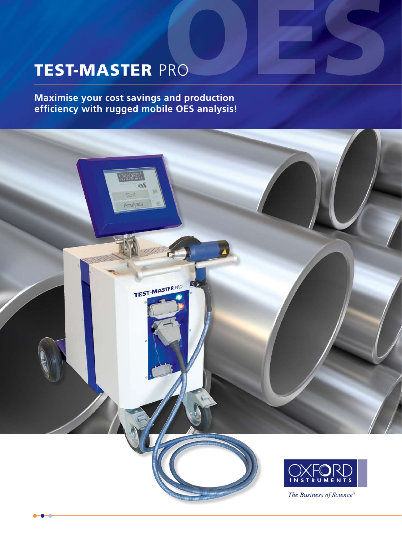# TEST-MASTER PRO PRO<br>PRO

**Maximise your cost savings and production efficiency with rugged mobile OES analysis!**

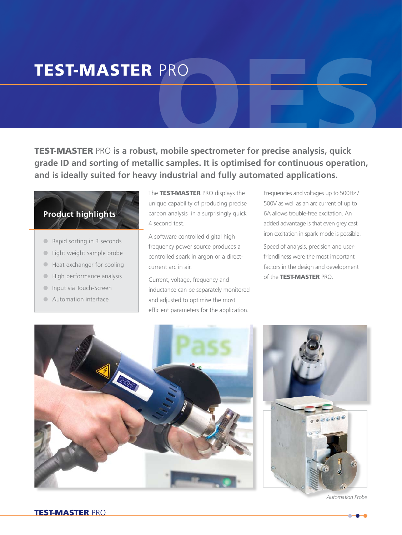# TEST-MASTER PRO

PRO<br>
..., mobile spectrometer for precise analysis, quick<br>
... TEST-MASTER PRO **is a robust, mobile spectrometer for precise analysis, quick grade ID and sorting of metallic samples. It is optimised for continuous operation, and is ideally suited for heavy industrial and fully automated applications.**

# **Product highlights**

- Rapid sorting in 3 seconds
- **•** Light weight sample probe
- **•** Heat exchanger for cooling
- **•** High performance analysis
- **•** Input via Touch-Screen
- **•** Automation interface

The TEST-MASTER PRO displays the unique capability of producing precise carbon analysis in a surprisingly quick 4 second test.

A software controlled digital high frequency power source produces a controlled spark in argon or a directcurrent arc in air.

Current, voltage, frequency and inductance can be separately monitored and adjusted to optimise the most efficient parameters for the application.

Frequencies and voltages up to 500Hz / 500V as well as an arc current of up to 6A allows trouble-free excitation. An added advantage is that even grey cast iron excitation in spark-mode is possible.

Speed of analysis, precision and userfriendliness were the most important factors in the design and development of the TEST-MASTER PRO.





*Automation Probe*

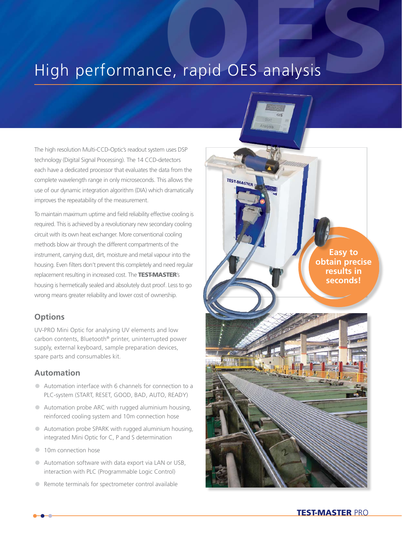# High performance, rapid OES analysis

TEST-MASTER

The high resolution Multi-CCD-Optic's readout system uses DSP technology (Digital Signal Processing). The 14 CCD-detectors each have a dedicated processor that evaluates the data from the complete wavelength range in only microseconds. This allows the use of our dynamic integration algorithm (DIA) which dramatically improves the repeatability of the measurement.

To maintain maximum uptime and field reliability effective cooling is required. This is achieved by a revolutionary new secondary cooling circuit with its own heat exchanger. More conventional cooling methods blow air through the different compartments of the instrument, carrying dust, dirt, moisture and metal vapour into the housing. Even filters don't prevent this completely and need regular replacement resulting in increased cost. The TEST-MASTER's housing is hermetically sealed and absolutely dust proof. Less to go wrong means greater reliability and lower cost of ownership.

# **Options**

UV-PRO Mini Optic for analysing UV elements and low carbon contents, Bluetooth® printer, uninterrupted power supply, external keyboard, sample preparation devices, spare parts and consumables kit.

# **Automation**

- **•** Automation interface with 6 channels for connection to a PLC-system (START, RESET, GOOD, BAD, AUTO, READY)
- **•** Automation probe ARC with rugged aluminium housing, reinforced cooling system and 10m connection hose
- **•** Automation probe SPARK with rugged aluminium housing, integrated Mini Optic for C, P and S determination
- 10m connection hose
- **•** Automation software with data export via LAN or USB, interaction with PLC (Programmable Logic Control)
- **•** Remote terminals for spectrometer control available

**Easy to obtain precise results in seconds!**